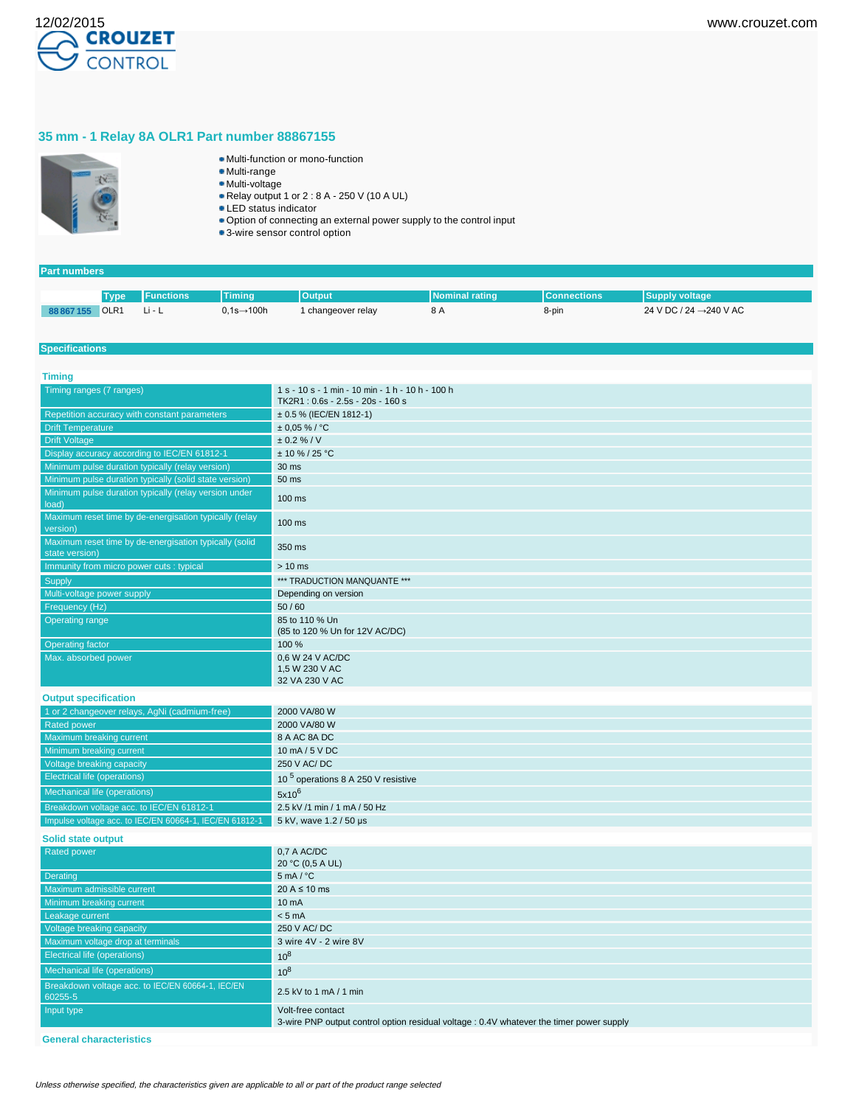

# **35 mm - 1 Relay 8A OLR1 Part number 88867155**



- Multi-function or mono-function
- Multi-range
- Multi-voltage Relay output 1 or 2 : 8 A - 250 V (10 A UL)
- LED status indicator
- Option of connecting an external power supply to the control input
- 3-wire sensor control option

### **Part numbers**

|            | <b>Type</b>      | <b>IFunctions</b> | <b>Timing</b>          | <b>Output</b>    | INominal rating | <b>Connections</b> | <b>Supply voltage</b>               |
|------------|------------------|-------------------|------------------------|------------------|-----------------|--------------------|-------------------------------------|
| 88 867 155 | OLR <sub>1</sub> | N Li − Li         | $0,1s\rightarrow 100h$ | changeover relay | $\circ$ A       | 8-pin              | 24 V DC / 24 $\rightarrow$ 240 V AC |

### **Specifications**

| <b>Timing</b>                                                            |                                                                                                               |
|--------------------------------------------------------------------------|---------------------------------------------------------------------------------------------------------------|
| Timing ranges (7 ranges)                                                 | 1 s - 10 s - 1 min - 10 min - 1 h - 10 h - 100 h<br>TK2R1: 0.6s - 2.5s - 20s - 160 s                          |
| Repetition accuracy with constant parameters                             | $\pm$ 0.5 % (IEC/EN 1812-1)                                                                                   |
| <b>Drift Temperature</b>                                                 | $± 0,05 %$ /°C                                                                                                |
| <b>Drift Voltage</b>                                                     | ± 0.2 % / V                                                                                                   |
| Display accuracy according to IEC/EN 61812-1                             | $± 10 \% / 25 °C$                                                                                             |
| Minimum pulse duration typically (relay version)                         | 30 ms                                                                                                         |
| Minimum pulse duration typically (solid state version)                   | 50 ms                                                                                                         |
| Minimum pulse duration typically (relay version under<br>load)           | 100 ms                                                                                                        |
| Maximum reset time by de-energisation typically (relay<br>version)       | 100 ms                                                                                                        |
| Maximum reset time by de-energisation typically (solid<br>state version) | 350 ms                                                                                                        |
| Immunity from micro power cuts : typical                                 | $> 10$ ms                                                                                                     |
| Supply                                                                   | *** TRADUCTION MANQUANTE ***                                                                                  |
| Multi-voltage power supply                                               | Depending on version                                                                                          |
| Frequency (Hz)                                                           | 50/60                                                                                                         |
| <b>Operating range</b>                                                   | 85 to 110 % Un<br>(85 to 120 % Un for 12V AC/DC)                                                              |
| Operating factor                                                         | 100 %                                                                                                         |
| Max. absorbed power                                                      | 0,6 W 24 V AC/DC<br>1.5 W 230 V AC                                                                            |
|                                                                          | 32 VA 230 V AC                                                                                                |
| <b>Output specification</b>                                              |                                                                                                               |
| 1 or 2 changeover relays, AgNi (cadmium-free)                            | 2000 VA/80 W                                                                                                  |
| <b>Rated power</b>                                                       | 2000 VA/80 W                                                                                                  |
| Maximum breaking current                                                 | 8 A AC 8A DC                                                                                                  |
| Minimum breaking current                                                 | 10 mA / 5 V DC                                                                                                |
| Voltage breaking capacity                                                | 250 V AC/DC                                                                                                   |
| Electrical life (operations)                                             | 10 <sup>5</sup> operations 8 A 250 V resistive                                                                |
| Mechanical life (operations)                                             | $5x10^6$                                                                                                      |
| Breakdown voltage acc. to IEC/EN 61812-1                                 | 2.5 kV /1 min / 1 mA / 50 Hz                                                                                  |
| Impulse voltage acc. to IEC/EN 60664-1, IEC/EN 61812-1                   | 5 kV, wave 1.2 / 50 µs                                                                                        |
|                                                                          |                                                                                                               |
| <b>Solid state output</b>                                                |                                                                                                               |
| Rated power                                                              | 0.7 A AC/DC<br>20 °C (0,5 A UL)                                                                               |
| Derating                                                                 | $5 \text{ mA} / {}^{\circ}C$                                                                                  |
| Maximum admissible current                                               | $20 A \le 10 ms$                                                                                              |
| <b>Minimum breaking current</b>                                          | 10 mA                                                                                                         |
| Leakage current                                                          | < 5 mA                                                                                                        |
| Voltage breaking capacity                                                | 250 V AC/DC                                                                                                   |
| Maximum voltage drop at terminals                                        | 3 wire 4V - 2 wire 8V                                                                                         |
| <b>Electrical life (operations)</b>                                      | $10^8$                                                                                                        |
| Mechanical life (operations)                                             | $10^8$                                                                                                        |
| Breakdown voltage acc. to IEC/EN 60664-1, IEC/EN<br>60255-5              | 2.5 kV to 1 mA / 1 min                                                                                        |
| Input type                                                               | Volt-free contact<br>3-wire PNP output control option residual voltage : 0.4V whatever the timer power supply |

**General characteristics**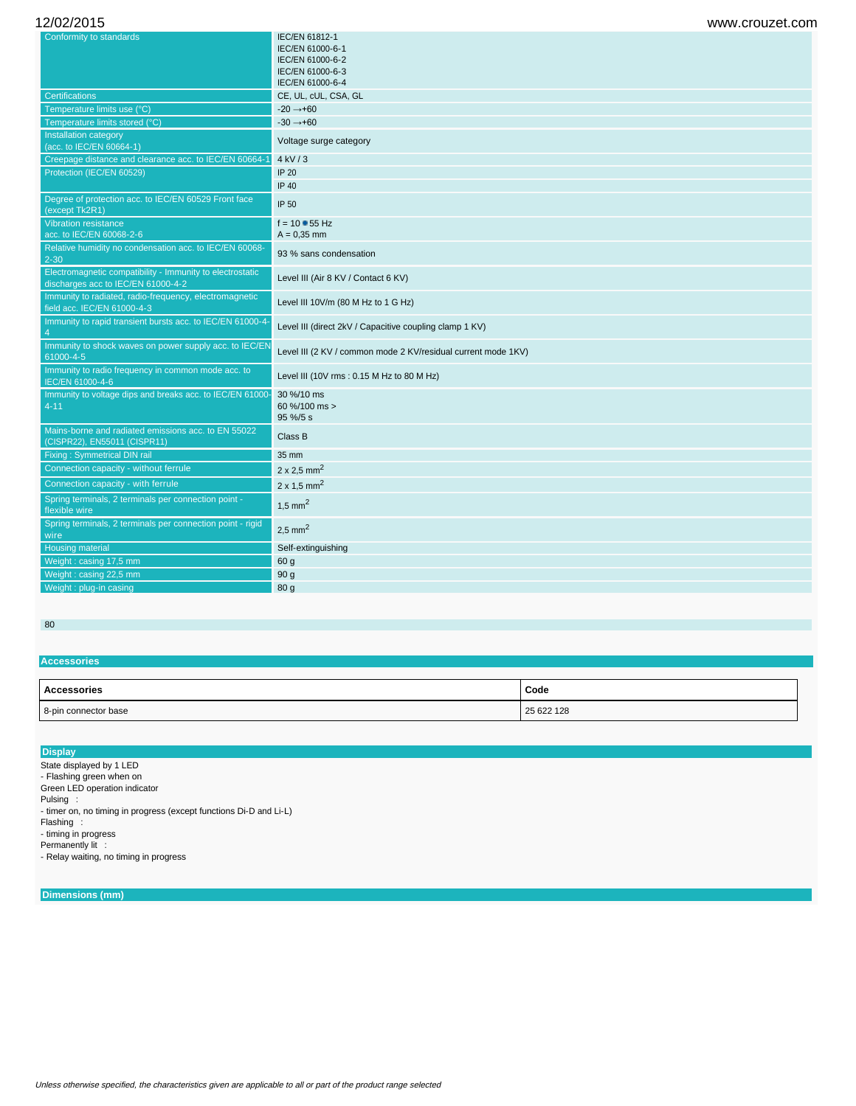| Conformity to standards                                                                         | IEC/EN 61812-1                                                |  |  |
|-------------------------------------------------------------------------------------------------|---------------------------------------------------------------|--|--|
|                                                                                                 | IEC/EN 61000-6-1                                              |  |  |
|                                                                                                 | IEC/EN 61000-6-2<br>IEC/EN 61000-6-3                          |  |  |
|                                                                                                 | IEC/EN 61000-6-4                                              |  |  |
| <b>Certifications</b>                                                                           | CE, UL, cUL, CSA, GL                                          |  |  |
| Temperature limits use (°C)                                                                     | $-20 \rightarrow +60$                                         |  |  |
| Temperature limits stored (°C)                                                                  | $-30 \rightarrow +60$                                         |  |  |
| Installation category<br>(acc. to IEC/EN 60664-1)                                               | Voltage surge category                                        |  |  |
| Creepage distance and clearance acc. to IEC/EN 60664-1                                          | 4 kV/3                                                        |  |  |
| Protection (IEC/EN 60529)                                                                       | IP 20                                                         |  |  |
|                                                                                                 | <b>IP 40</b>                                                  |  |  |
| Degree of protection acc. to IEC/EN 60529 Front face<br>(except Tk2R1)                          | IP 50                                                         |  |  |
| <b>Vibration resistance</b>                                                                     | $f = 10 - 55$ Hz                                              |  |  |
| acc. to IEC/EN 60068-2-6                                                                        | $A = 0.35$ mm                                                 |  |  |
| Relative humidity no condensation acc. to IEC/EN 60068-<br>$2 - 30$                             | 93 % sans condensation                                        |  |  |
| Electromagnetic compatibility - Immunity to electrostatic<br>discharges acc to IEC/EN 61000-4-2 | Level III (Air 8 KV / Contact 6 KV)                           |  |  |
| Immunity to radiated, radio-frequency, electromagnetic<br>field acc. IEC/EN 61000-4-3           | Level III 10V/m (80 M Hz to 1 G Hz)                           |  |  |
| Immunity to rapid transient bursts acc. to IEC/EN 61000-4-<br>$\overline{4}$                    | Level III (direct 2kV / Capacitive coupling clamp 1 KV)       |  |  |
| Immunity to shock waves on power supply acc. to IEC/EN<br>61000-4-5                             | Level III (2 KV / common mode 2 KV/residual current mode 1KV) |  |  |
| Immunity to radio frequency in common mode acc. to<br>IEC/EN 61000-4-6                          | Level III (10V rms: 0.15 M Hz to 80 M Hz)                     |  |  |
| Immunity to voltage dips and breaks acc. to IEC/EN 61000-<br>$4 - 11$                           | 30 %/10 ms<br>60 %/100 ms ><br>95 %/5 s                       |  |  |
| Mains-borne and radiated emissions acc. to EN 55022<br>(CISPR22), EN55011 (CISPR11)             | Class B                                                       |  |  |
| <b>Fixing: Symmetrical DIN rail</b>                                                             | 35 mm                                                         |  |  |
| Connection capacity - without ferrule                                                           | $2 \times 2.5$ mm <sup>2</sup>                                |  |  |
| Connection capacity - with ferrule                                                              | $2 \times 1.5$ mm <sup>2</sup>                                |  |  |
| Spring terminals, 2 terminals per connection point -<br>flexible wire                           | $1,5$ mm <sup>2</sup>                                         |  |  |
| Spring terminals, 2 terminals per connection point - rigid<br>wire                              | $2,5$ mm <sup>2</sup>                                         |  |  |
| <b>Housing material</b>                                                                         | Self-extinguishing                                            |  |  |
| Weight: casing 17,5 mm                                                                          | 60 g                                                          |  |  |
| Weight: casing 22,5 mm                                                                          | 90 <sub>g</sub>                                               |  |  |
| Weight: plug-in casing                                                                          | 80 g                                                          |  |  |
|                                                                                                 |                                                               |  |  |

## 80

## **Accessories**

| <b>Accessories</b>   | Code       |
|----------------------|------------|
| 8-pin connector base | 25 622 128 |

### **Display**

State displayed by 1 LED

- Flashing green when on

Green LED operation indicator

Pulsing : - timer on, no timing in progress (except functions Di-D and Li-L)

Flashing : - timing in progress

Permanently lit :

- Relay waiting, no timing in progress

# **Dimensions (mm)**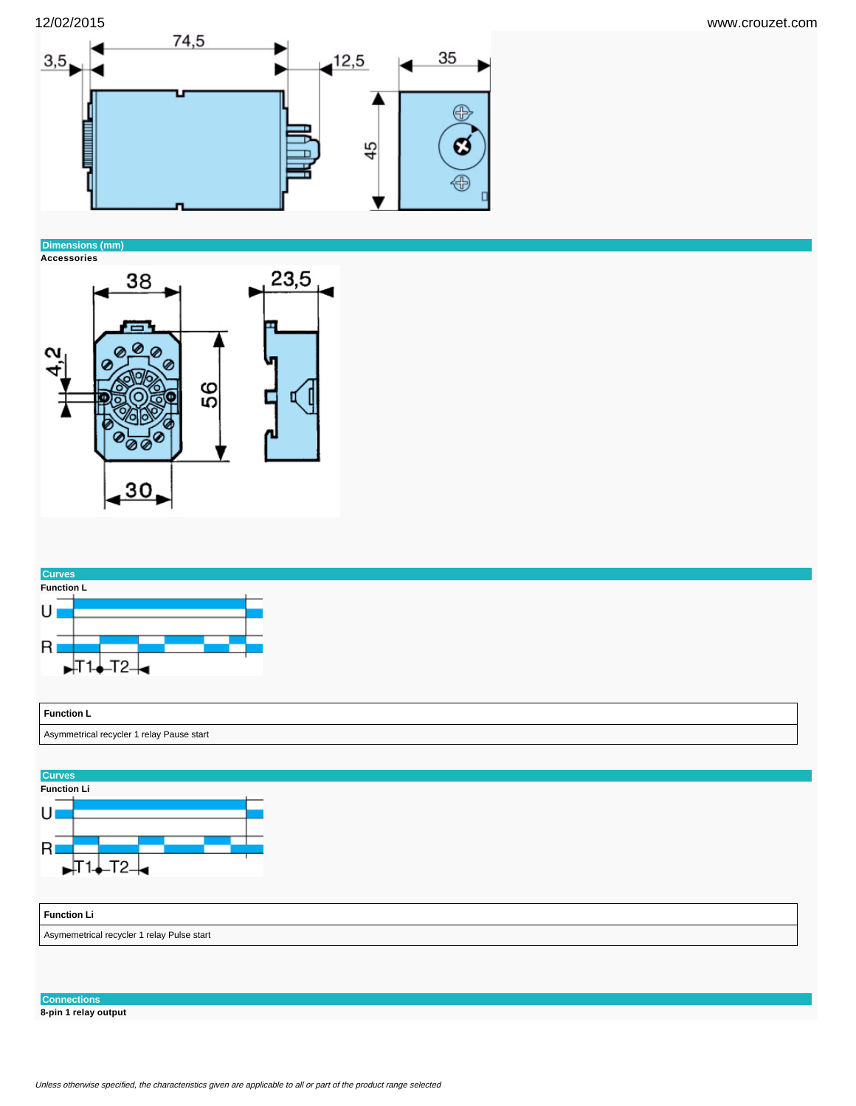

# **Dimensions (mm)**







**Connections**

**8-pin 1 relay output**